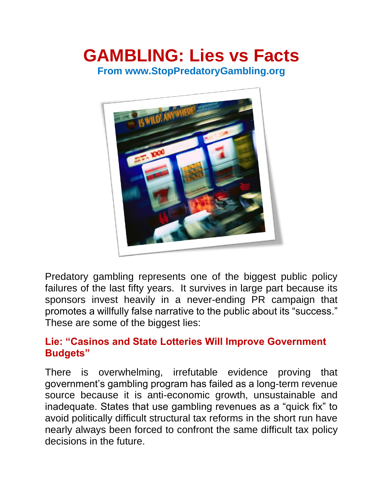# **GAMBLING: Lies vs Facts From www.StopPredatoryGambling.org**



Predatory gambling represents one of the biggest public policy failures of the last fifty years. It survives in large part because its sponsors invest heavily in a never-ending PR campaign that promotes a willfully false narrative to the public about its "success." These are some of the biggest lies:

## **Lie: "Casinos and State Lotteries Will Improve Government Budgets"**

There is overwhelming, irrefutable evidence proving that government's gambling program has failed as a long-term revenue source because it is anti-economic growth, unsustainable and inadequate. States that use gambling revenues as a "quick fix" to avoid politically difficult structural tax reforms in the short run have nearly always been forced to confront the same difficult tax policy decisions in the future.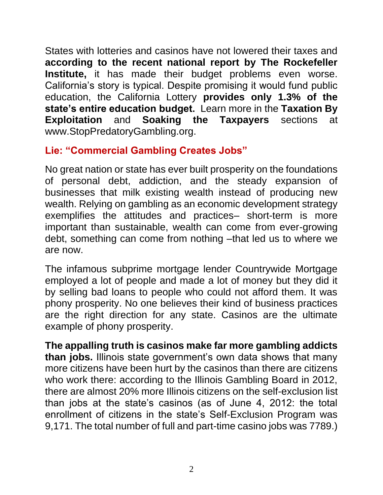States with lotteries and casinos have not lowered their taxes and **[according to the recent national report by The Rockefeller](http://stoppredatorygambling.org/wp-content/uploads/2012/12/2009-09-21-No_More_Jackpot-Rockefeller-Report-3.pdf)  [Institute,](http://stoppredatorygambling.org/wp-content/uploads/2012/12/2009-09-21-No_More_Jackpot-Rockefeller-Report-3.pdf)** it has made their budget problems even worse. California's story is typical. Despite promising it would fund public education, the California Lottery **[provides only 1.3% of the](http://articles.latimes.com/2010/apr/15/local/la-me-lottery15-2010apr15)  [state's entire education budget.](http://articles.latimes.com/2010/apr/15/local/la-me-lottery15-2010apr15)** Learn more in the **[Taxation By](http://stoppredatorygambling.org/blog/category/research-center/taxation-by-exploitation/)  [Exploitation](http://stoppredatorygambling.org/blog/category/research-center/taxation-by-exploitation/)** and **Soaking the Taxpayers** sections at www.StopPredatoryGambling.org.

# **Lie: "Commercial Gambling Creates Jobs"**

No great nation or state has ever built prosperity on the foundations of personal debt, addiction, and the steady expansion of businesses that milk existing wealth instead of producing new wealth. Relying on gambling as an economic development strategy exemplifies the attitudes and practices– short-term is more important than sustainable, wealth can come from ever-growing debt, something can come from nothing –that led us to where we are now.

The infamous subprime mortgage lender Countrywide Mortgage employed a lot of people and made a lot of money but they did it by selling bad loans to people who could not afford them. It was phony prosperity. No one believes their kind of business practices are the right direction for any state. Casinos are the ultimate example of phony prosperity.

**The appalling truth is casinos make far more gambling addicts than jobs.** Illinois state government's own data shows that many more citizens have been hurt by the casinos than there are citizens who work there: according to the Illinois Gambling Board in 2012, there are almost 20% more Illinois citizens on the self-exclusion list than jobs at the state's casinos (as of June 4, 2012: the total enrollment of citizens in the state's Self-Exclusion Program was 9,171. The total number of full and part-time casino jobs was 7789.)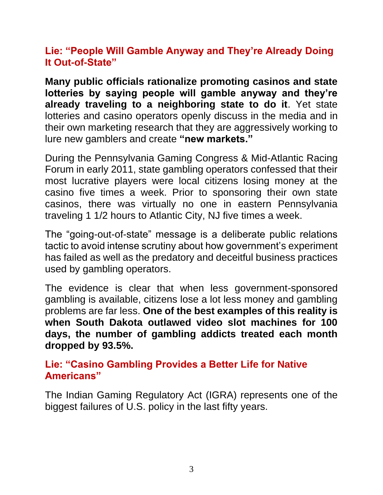## **Lie: "People Will Gamble Anyway and They're Already Doing It Out-of-State"**

**Many public officials rationalize promoting casinos and state lotteries by saying people will gamble anyway and they're already traveling to a neighboring state to do it**. Yet state lotteries and casino operators openly discuss in the media and in their own marketing research that they are aggressively working to lure new gamblers and create **["new markets."](http://stoppredatorygambling.org/wp-content/uploads/2013/02/2013-Columbus-Toledo-casinos-off-to-sluggish-start-for-Penn-National.pdf)**

During the Pennsylvania Gaming Congress & Mid-Atlantic Racing Forum in early 2011, state gambling operators confessed that their most lucrative players were local citizens losing money at the casino five times a week. Prior to sponsoring their own state casinos, there was virtually no one in eastern Pennsylvania traveling 1 1/2 hours to Atlantic City, NJ five times a week.

The "going-out-of-state" message is a deliberate public relations tactic to avoid intense scrutiny about how government's experiment has failed as well as the predatory and deceitful business practices used by gambling operators.

The evidence is clear that when less government-sponsored gambling is available, citizens lose a lot less money and gambling problems are far less. **One of the best examples of this reality is when South Dakota outlawed video slot machines for 100 days, the number of gambling addicts treated each month dropped by 93.5%.**

#### **[Lie: "Casino Gambling Provides a Better Life for Native](http://tinyurl.com/aajvyr9)  [Americans"](http://tinyurl.com/aajvyr9)**

The Indian Gaming Regulatory Act (IGRA) represents one of the biggest failures of U.S. policy in the last fifty years.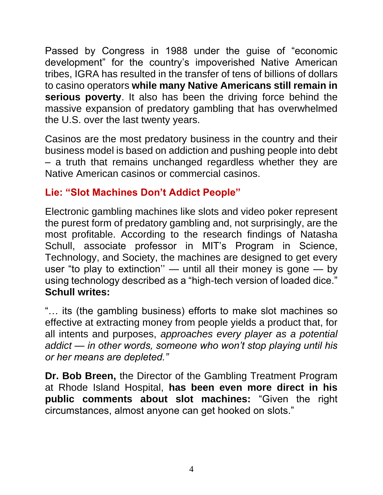Passed by Congress in 1988 under the guise of "economic development" for the country's impoverished Native American tribes, IGRA has resulted in the transfer of tens of billions of dollars to casino operators **[while many Native Americans still remain in](http://stoppredatorygambling.org/blog/category/research-center/native-american-casinos-research-center/)  [serious poverty](http://stoppredatorygambling.org/blog/category/research-center/native-american-casinos-research-center/)**. It also has been the driving force behind the massive expansion of predatory gambling that has overwhelmed the U.S. over the last twenty years.

Casinos are the most predatory business in the country and their business model is based on addiction and pushing people into debt – a truth that remains unchanged regardless whether they are Native American casinos or commercial casinos.

# **Lie: "Slot Machines Don't Addict People"**

Electronic gambling machines like slots and video poker represent the purest form of predatory gambling and, not surprisingly, are the most profitable. According to the research findings of Natasha Schull, associate professor in MIT's Program in Science, Technology, and Society, the machines are designed to get every user "to play to extinction'' — until all their money is gone — by using technology described as a "high-tech version of loaded dice.["](http://stoppredatorygambling.org/facts-research/wp-content/uploads/2012/12/Beware-Machine-Zone-Ahead.pdf) **[Schull writes:](http://stoppredatorygambling.org/facts-research/wp-content/uploads/2012/12/Beware-Machine-Zone-Ahead.pdf)**

"… its (the gambling business) efforts to make slot machines so effective at extracting money from people yields a product that, for all intents and purposes, *approaches every player as a potential addict — in other words, someone who won't stop playing until his or her means are depleted."*

**[Dr. Bob Breen,](http://www.rhodeislandhospital.org/services/mental-health/gambling-treatment-program/staff/bob-breen-phd-director-.html)** the Director of the Gambling Treatment Program at Rhode Island Hospital, **[has been even more direct in his](http://www.youtube.com/watch?v=jNL3FzU_glU)  [public comments about slot machines:](http://www.youtube.com/watch?v=jNL3FzU_glU)** "Given the right circumstances, almost anyone can get hooked on slots."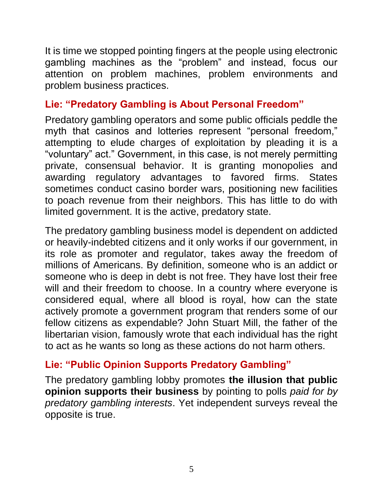It is time we stopped pointing fingers at the people using electronic gambling machines as the "problem" and instead, focus our attention on problem machines, problem environments and problem business practices.

## **Lie: "Predatory Gambling is About Personal Freedom"**

Predatory gambling operators and some public officials peddle the myth that casinos and lotteries represent "personal freedom," attempting to elude charges of exploitation by pleading it is a "voluntary" act." Government, in this case, is not merely permitting private, consensual behavior. It is granting monopolies and awarding regulatory advantages to favored firms. States sometimes conduct casino border wars, positioning new facilities to poach revenue from their neighbors. This has little to do with limited government. It is the active, predatory state.

The predatory gambling business model is dependent on addicted or heavily-indebted citizens and it only works if our government, in its role as promoter and regulator, takes away the freedom of millions of Americans. By definition, someone who is an addict or someone who is deep in debt is not free. They have lost their free will and their freedom to choose. In a country where everyone is considered equal, where all blood is royal, how can the state actively promote a government program that renders some of our fellow citizens as expendable? John Stuart Mill, the father of the libertarian vision, famously wrote that each individual has the right to act as he wants so long as these actions do not harm others.

## **Lie: "Public Opinion Supports Predatory Gambling"**

The predatory gambling lobby promotes **[the illusion that public](http://stoppredatorygambling.org/wp-content/uploads/2012/12/Support-for-industry-has-been-documented.pdf)  [opinion supports their business](http://stoppredatorygambling.org/wp-content/uploads/2012/12/Support-for-industry-has-been-documented.pdf)** by pointing to polls *paid for by predatory gambling interests*. Yet independent surveys reveal the opposite is true.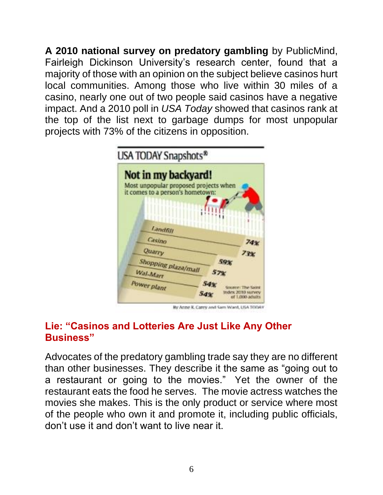**[A 2010 national survey on predatory gambling](http://stoppredatorygambling.org/wp-content/uploads/2012/12/Keep-Las-Vegas-in-Las-Vegas.pdf)** by PublicMind, Fairleigh Dickinson University's research center, found that a majority of those with an opinion on the subject believe casinos hurt local communities. Among those who live within 30 miles of a casino, nearly one out of two people said casinos have a negative impact. And a 2010 poll in *USA Today* showed that casinos rank at the top of the list next to garbage dumps for most unpopular projects with 73% of the citizens in opposition.



By Anne R. Carey and Sam Ward, USA TODAY

# **Lie: "Casinos and Lotteries Are Just Like Any Other Business"**

Advocates of the predatory gambling trade say they are no different than other businesses. They describe it the same as "going out to a restaurant or going to the movies." Yet the owner of the restaurant eats the food he serves. The movie actress watches the movies she makes. This is the only product or service where most of the people who own it and promote it, including public officials, don't use it and don't want to live near it.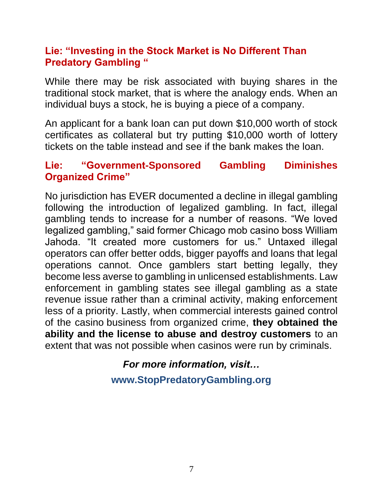#### **Lie: "Investing in the Stock Market is No Different Than Predatory Gambling "**

While there may be risk associated with buying shares in the traditional stock market, that is where the analogy ends. When an individual buys a stock, he is buying a piece of a company.

An applicant for a bank loan can put down \$10,000 worth of stock certificates as collateral but try putting \$10,000 worth of lottery tickets on the table instead and see if the bank makes the loan.

#### **Lie: "Government-Sponsored Gambling Diminishes Organized Crime"**

No jurisdiction has EVER documented a decline in illegal gambling following the introduction of legalized gambling. In fact, illegal gambling tends to increase for a number of reasons. "We loved legalized gambling," said former Chicago mob casino boss William Jahoda. "It created more customers for us." Untaxed illegal operators can offer better odds, bigger payoffs and loans that legal operations cannot. Once gamblers start betting legally, they become less averse to gambling in unlicensed establishments. Law enforcement in gambling states see illegal gambling as a state revenue issue rather than a criminal activity, making enforcement less of a priority. Lastly, when commercial interests gained control of the casino business from organized crime, **they obtained the ability and the license to abuse and destroy customers** to an extent that was not possible when casinos were run by criminals.

> *For more information, visit…* **www.StopPredatoryGambling.org**